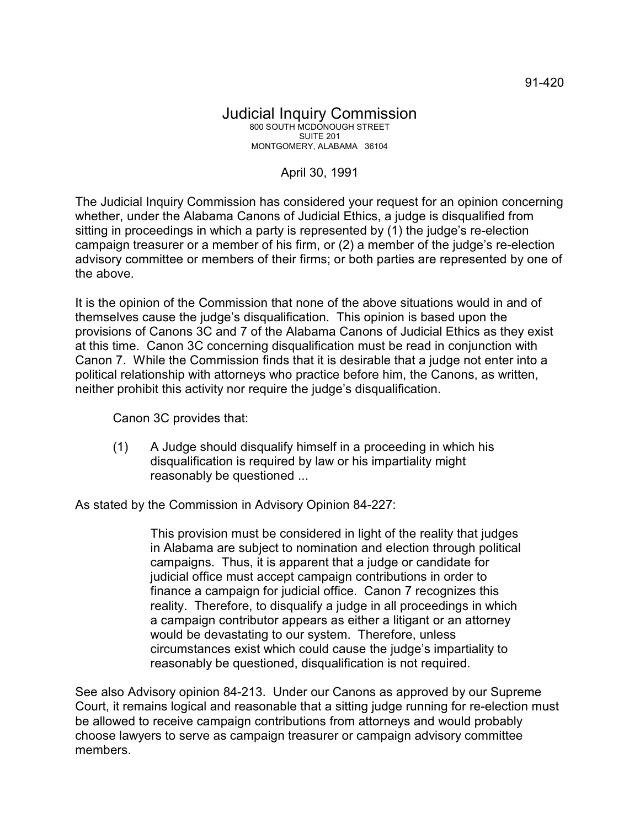## Judicial Inquiry Commission 800 SOUTH MCDONOUGH STREET SUITE 201 MONTGOMERY, ALABAMA 36104

## April 30, 1991

The Judicial Inquiry Commission has considered your request for an opinion concerning whether, under the Alabama Canons of Judicial Ethics, a judge is disqualified from sitting in proceedings in which a party is represented by (1) the judge's re-election campaign treasurer or a member of his firm, or (2) a member of the judge's re-election advisory committee or members of their firms; or both parties are represented by one of the above.

It is the opinion of the Commission that none of the above situations would in and of themselves cause the judge's disqualification. This opinion is based upon the provisions of Canons 3C and 7 of the Alabama Canons of Judicial Ethics as they exist at this time. Canon 3C concerning disqualification must be read in conjunction with Canon 7. While the Commission finds that it is desirable that a judge not enter into a political relationship with attorneys who practice before him, the Canons, as written, neither prohibit this activity nor require the judge's disqualification.

Canon 3C provides that:

(1) A Judge should disqualify himself in a proceeding in which his disqualification is required by law or his impartiality might reasonably be questioned ...

As stated by the Commission in Advisory Opinion 84-227:

This provision must be considered in light of the reality that judges in Alabama are subject to nomination and election through political campaigns. Thus, it is apparent that a judge or candidate for judicial office must accept campaign contributions in order to finance a campaign for judicial office. Canon 7 recognizes this reality. Therefore, to disqualify a judge in all proceedings in which a campaign contributor appears as either a litigant or an attorney would be devastating to our system. Therefore, unless circumstances exist which could cause the judge's impartiality to reasonably be questioned, disqualification is not required.

See also Advisory opinion 84-213. Under our Canons as approved by our Supreme Court, it remains logical and reasonable that a sitting judge running for re-election must be allowed to receive campaign contributions from attorneys and would probably choose lawyers to serve as campaign treasurer or campaign advisory committee members.